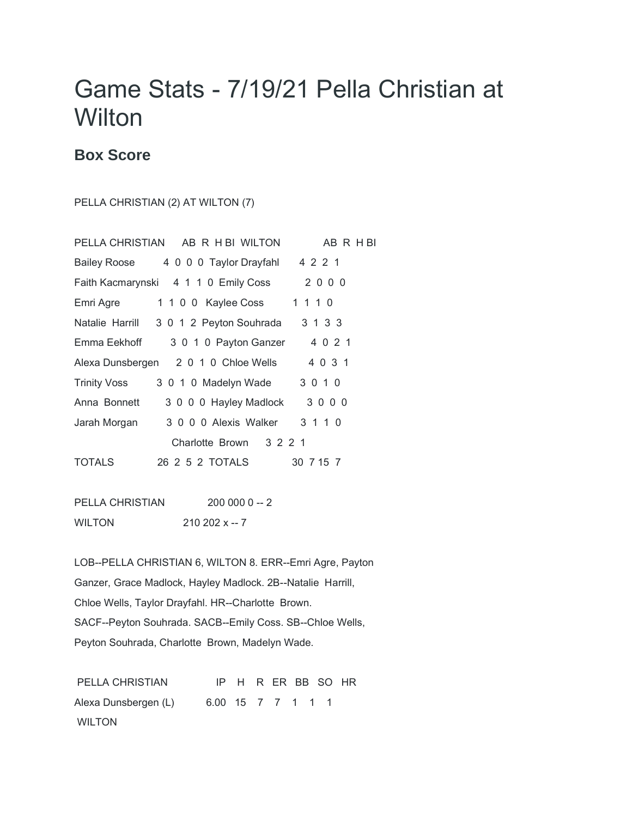## Game Stats - 7/19/21 Pella Christian at **Wilton**

## **Box Score**

PELLA CHRISTIAN (2) AT WILTON (7)

|                     | PELLA CHRISTIAN AB R H BI WILTON             | AB R H BI |
|---------------------|----------------------------------------------|-----------|
|                     | Bailey Roose 4 0 0 0 Taylor Drayfahl 4 2 2 1 |           |
|                     | Faith Kacmarynski 4 1 1 0 Emily Coss         | 2000      |
| Emri Agre           | 1 1 0 0 Kaylee Coss                          | 1 1 1 0   |
|                     | Natalie Harrill 3 0 1 2 Peyton Souhrada      | 3 1 3 3   |
| Emma Eekhoff        | 3 0 1 0 Payton Ganzer                        | 4 0 2 1   |
|                     | Alexa Dunsbergen 2 0 1 0 Chloe Wells         | 4 0 3 1   |
| <b>Trinity Voss</b> | 3 0 1 0 Madelyn Wade                         | 3 0 1 0   |
| Anna Bonnett        | 3 0 0 0 Hayley Madlock                       | 3000      |
| Jarah Morgan        | 3 0 0 0 Alexis Walker                        | 3 1 1 0   |
|                     | 3 2 2 1<br>Charlotte Brown                   |           |
| TOTALS              | 26  2  5  2  TOTALS                          | 30 7 15 7 |

| PELLA CHRISTIAN | $2000000 - 2$ |
|-----------------|---------------|
| <b>WILTON</b>   | $21022x - 7$  |

LOB--PELLA CHRISTIAN 6, WILTON 8. ERR--Emri Agre, Payton Ganzer, Grace Madlock, Hayley Madlock. 2B--Natalie Harrill, Chloe Wells, Taylor Drayfahl. HR--Charlotte Brown. SACF--Peyton Souhrada. SACB--Emily Coss. SB--Chloe Wells, Peyton Souhrada, Charlotte Brown, Madelyn Wade.

PELLA CHRISTIAN IP H R ER BB SO HR Alexa Dunsbergen (L) 6.00 15 7 7 1 1 1 WILTON